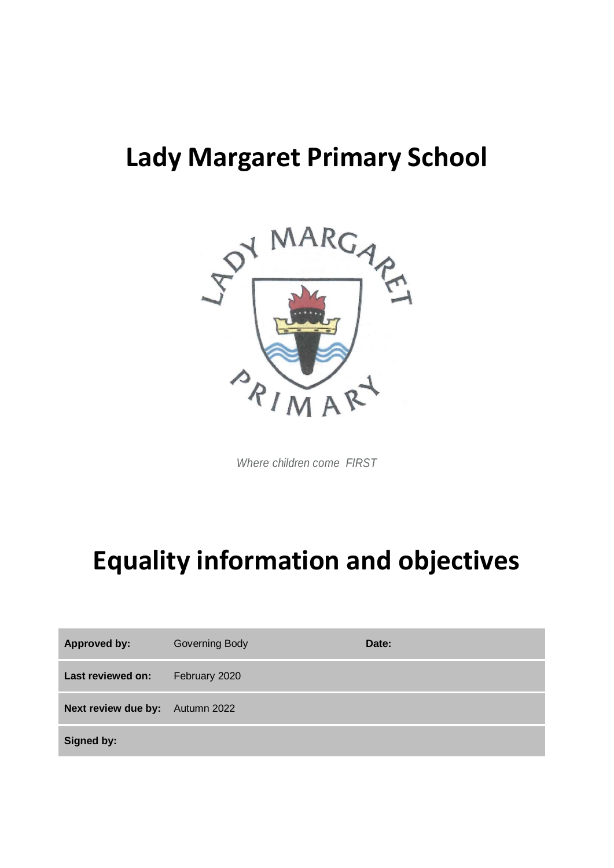## **Lady Margaret Primary School**



*Where children come FIRST*

# **Equality information and objectives**

| <b>Approved by:</b>             | <b>Governing Body</b> | Date: |
|---------------------------------|-----------------------|-------|
| Last reviewed on:               | February 2020         |       |
| Next review due by: Autumn 2022 |                       |       |
| Signed by:                      |                       |       |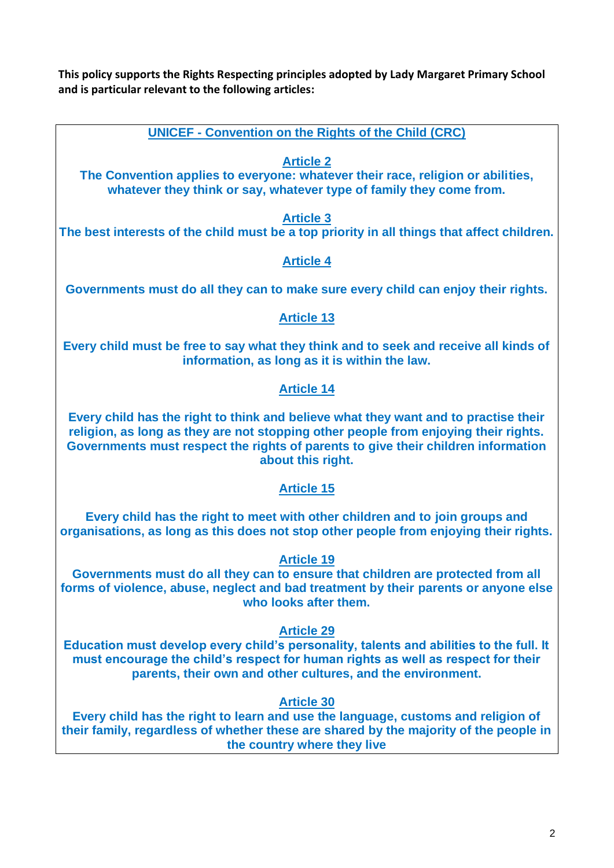**This policy supports the Rights Respecting principles adopted by Lady Margaret Primary School and is particular relevant to the following articles:** 

**UNICEF - Convention on the Rights of the Child (CRC)**

## **Article 2**

**The Convention applies to everyone: whatever their race, religion or abilities, whatever they think or say, whatever type of family they come from.**

#### **Article 3**

**The best interests of the child must be a top priority in all things that affect children.**

## **Article 4**

**Governments must do all they can to make sure every child can enjoy their rights.**

### **Article 13**

**Every child must be free to say what they think and to seek and receive all kinds of information, as long as it is within the law.**

### **Article 14**

**Every child has the right to think and believe what they want and to practise their religion, as long as they are not stopping other people from enjoying their rights. Governments must respect the rights of parents to give their children information about this right.**

### **Article 15**

**Every child has the right to meet with other children and to join groups and organisations, as long as this does not stop other people from enjoying their rights.**

### **Article 19**

**Governments must do all they can to ensure that children are protected from all forms of violence, abuse, neglect and bad treatment by their parents or anyone else who looks after them.**

#### **Article 29**

**Education must develop every child's personality, talents and abilities to the full. It must encourage the child's respect for human rights as well as respect for their parents, their own and other cultures, and the environment.** 

### **Article 30**

**Every child has the right to learn and use the language, customs and religion of their family, regardless of whether these are shared by the majority of the people in the country where they live**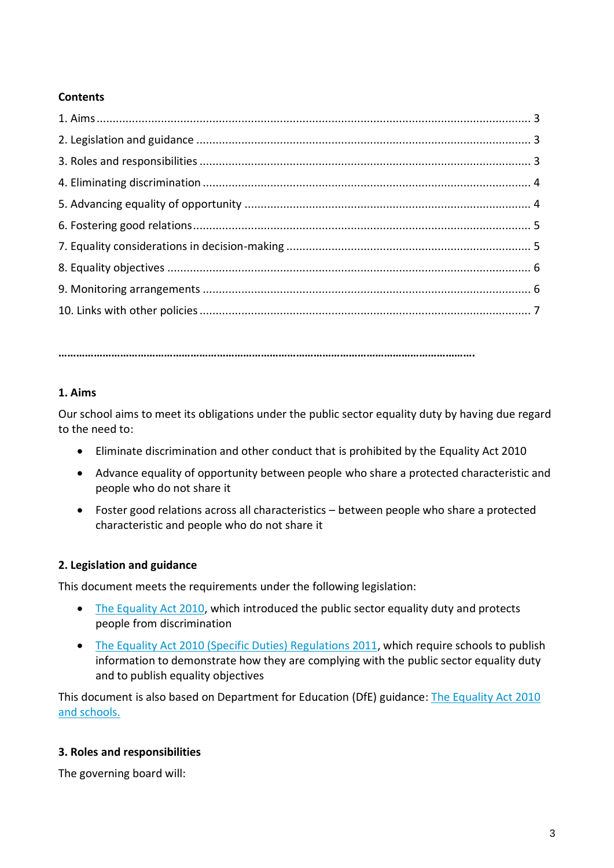#### **Contents**

**…………………………………………………………………………………………………………………………….**

### **1. Aims**

Our school aims to meet its obligations under the public sector equality duty by having due regard to the need to:

- Eliminate discrimination and other conduct that is prohibited by the Equality Act 2010
- Advance equality of opportunity between people who share a protected characteristic and people who do not share it
- Foster good relations across all characteristics between people who share a protected characteristic and people who do not share it

#### **2. Legislation and guidance**

This document meets the requirements under the following legislation:

- [The Equality Act 2010,](http://www.legislation.gov.uk/ukpga/2010/15/contents) which introduced the public sector equality duty and protects people from discrimination
- [The Equality Act 2010 \(Specific Duties\) Regulations 2011,](http://www.legislation.gov.uk/uksi/2011/2260/contents/made) which require schools to publish information to demonstrate how they are complying with the public sector equality duty and to publish equality objectives

This document is also based on Department for Education (DfE) guidance: [The Equality Act 2010](https://www.gov.uk/government/uploads/system/uploads/attachment_data/file/315587/Equality_Act_Advice_Final.pdf)  [and schools.](https://www.gov.uk/government/uploads/system/uploads/attachment_data/file/315587/Equality_Act_Advice_Final.pdf) 

### **3. Roles and responsibilities**

The governing board will: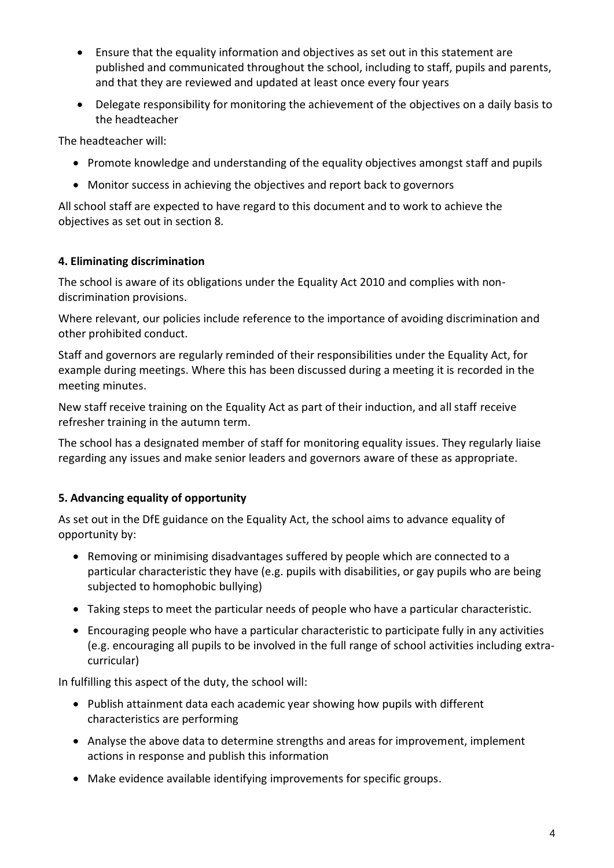- Ensure that the equality information and objectives as set out in this statement are published and communicated throughout the school, including to staff, pupils and parents, and that they are reviewed and updated at least once every four years
- Delegate responsibility for monitoring the achievement of the objectives on a daily basis to the headteacher

The headteacher will:

- Promote knowledge and understanding of the equality objectives amongst staff and pupils
- Monitor success in achieving the objectives and report back to governors

All school staff are expected to have regard to this document and to work to achieve the objectives as set out in section 8.

#### **4. Eliminating discrimination**

The school is aware of its obligations under the Equality Act 2010 and complies with nondiscrimination provisions.

Where relevant, our policies include reference to the importance of avoiding discrimination and other prohibited conduct.

Staff and governors are regularly reminded of their responsibilities under the Equality Act, for example during meetings. Where this has been discussed during a meeting it is recorded in the meeting minutes.

New staff receive training on the Equality Act as part of their induction, and all staff receive refresher training in the autumn term.

The school has a designated member of staff for monitoring equality issues. They regularly liaise regarding any issues and make senior leaders and governors aware of these as appropriate.

### **5. Advancing equality of opportunity**

As set out in the DfE guidance on the Equality Act, the school aims to advance equality of opportunity by:

- Removing or minimising disadvantages suffered by people which are connected to a particular characteristic they have (e.g. pupils with disabilities, or gay pupils who are being subjected to homophobic bullying)
- Taking steps to meet the particular needs of people who have a particular characteristic.
- Encouraging people who have a particular characteristic to participate fully in any activities (e.g. encouraging all pupils to be involved in the full range of school activities including extracurricular)

In fulfilling this aspect of the duty, the school will:

- Publish attainment data each academic year showing how pupils with different characteristics are performing
- Analyse the above data to determine strengths and areas for improvement, implement actions in response and publish this information
- Make evidence available identifying improvements for specific groups.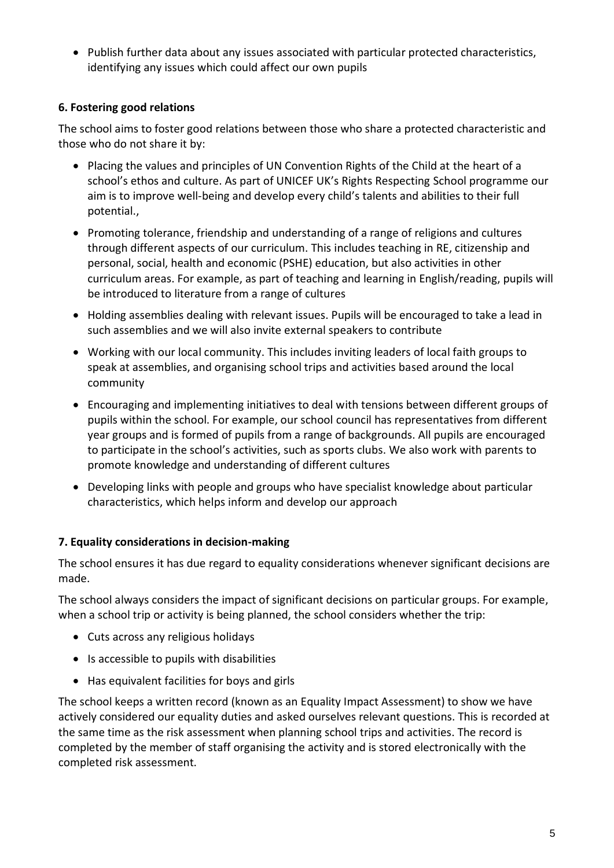• Publish further data about any issues associated with particular protected characteristics, identifying any issues which could affect our own pupils

## **6. Fostering good relations**

The school aims to foster good relations between those who share a protected characteristic and those who do not share it by:

- Placing the values and principles of UN Convention Rights of the Child at the heart of a school's ethos and culture. As part of UNICEF UK's Rights Respecting School programme our aim is to improve well-being and develop every child's talents and abilities to their full potential.,
- Promoting tolerance, friendship and understanding of a range of religions and cultures through different aspects of our curriculum. This includes teaching in RE, citizenship and personal, social, health and economic (PSHE) education, but also activities in other curriculum areas. For example, as part of teaching and learning in English/reading, pupils will be introduced to literature from a range of cultures
- Holding assemblies dealing with relevant issues. Pupils will be encouraged to take a lead in such assemblies and we will also invite external speakers to contribute
- Working with our local community. This includes inviting leaders of local faith groups to speak at assemblies, and organising school trips and activities based around the local community
- Encouraging and implementing initiatives to deal with tensions between different groups of pupils within the school. For example, our school council has representatives from different year groups and is formed of pupils from a range of backgrounds. All pupils are encouraged to participate in the school's activities, such as sports clubs. We also work with parents to promote knowledge and understanding of different cultures
- Developing links with people and groups who have specialist knowledge about particular characteristics, which helps inform and develop our approach

### **7. Equality considerations in decision-making**

The school ensures it has due regard to equality considerations whenever significant decisions are made.

The school always considers the impact of significant decisions on particular groups. For example, when a school trip or activity is being planned, the school considers whether the trip:

- Cuts across any religious holidays
- Is accessible to pupils with disabilities
- Has equivalent facilities for boys and girls

The school keeps a written record (known as an Equality Impact Assessment) to show we have actively considered our equality duties and asked ourselves relevant questions. This is recorded at the same time as the risk assessment when planning school trips and activities. The record is completed by the member of staff organising the activity and is stored electronically with the completed risk assessment.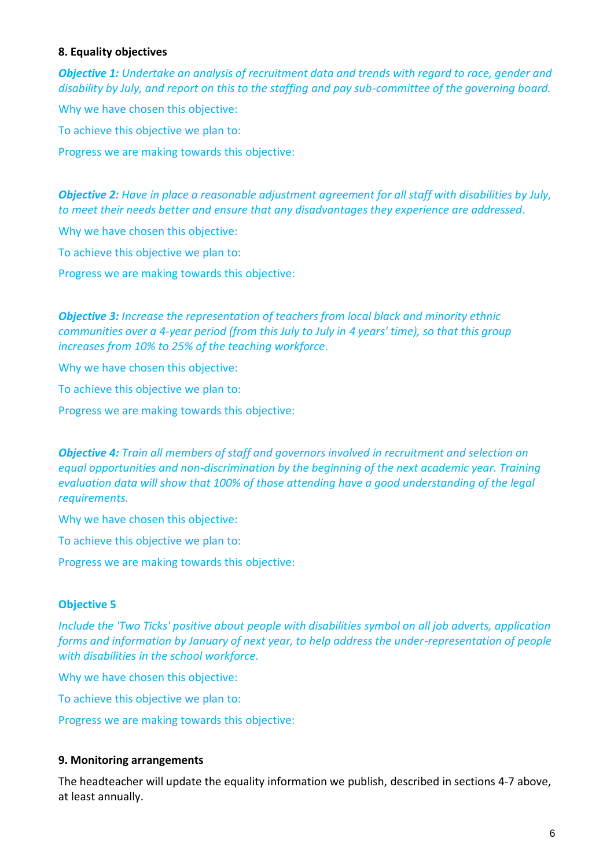#### **8. Equality objectives**

*Objective 1: Undertake an analysis of recruitment data and trends with regard to race, gender and disability by July, and report on this to the staffing and pay sub-committee of the governing board.*

Why we have chosen this objective: To achieve this objective we plan to: Progress we are making towards this objective:

*Objective 2: Have in place a reasonable adjustment agreement for all staff with disabilities by July, to meet their needs better and ensure that any disadvantages they experience are addressed.*

Why we have chosen this objective:

To achieve this objective we plan to:

Progress we are making towards this objective:

*Objective 3: Increase the representation of teachers from local black and minority ethnic communities over a 4-year period (from this July to July in 4 years' time), so that this group increases from 10% to 25% of the teaching workforce.*

Why we have chosen this objective:

To achieve this objective we plan to:

Progress we are making towards this objective:

*Objective 4: Train all members of staff and governors involved in recruitment and selection on equal opportunities and non-discrimination by the beginning of the next academic year. Training evaluation data will show that 100% of those attending have a good understanding of the legal requirements.*

Why we have chosen this objective:

To achieve this objective we plan to:

Progress we are making towards this objective:

#### **Objective 5**

*Include the 'Two Ticks' positive about people with disabilities symbol on all job adverts, application forms and information by January of next year, to help address the under-representation of people with disabilities in the school workforce.*

Why we have chosen this objective:

To achieve this objective we plan to:

Progress we are making towards this objective:

#### **9. Monitoring arrangements**

The headteacher will update the equality information we publish, described in sections 4-7 above, at least annually.